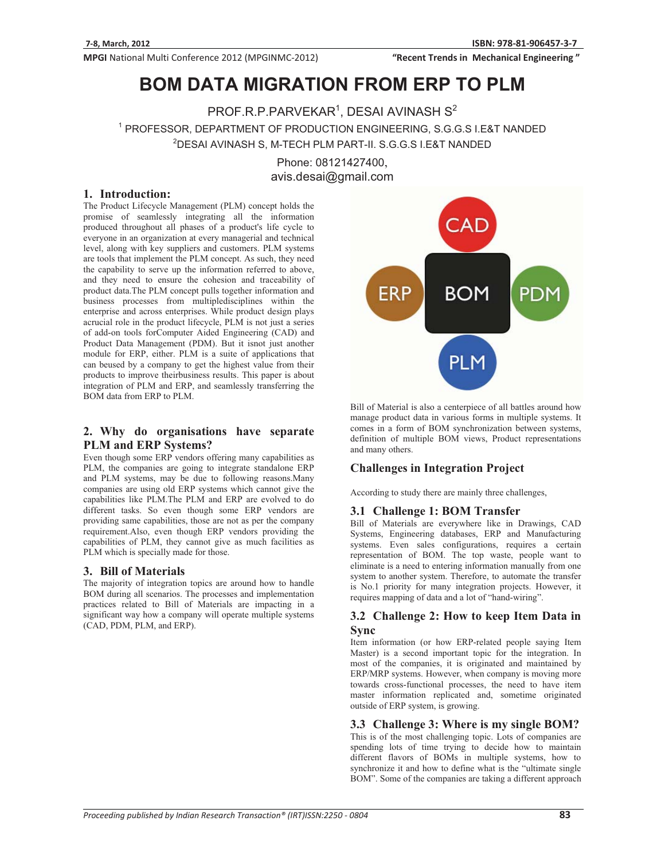MPGI National Multi Conference 2012 (MPGINMC-2012)

"Recent Trends in Mechanical Engineering"

# **BOM DATA MIGRATION FROM ERP TO PLM**

 $\mathsf{PROF.R.P.PARYEKAR}^1$ , DESAI AVINASH  $\mathsf{S}^2$ 1 PROFESSOR, DEPARTMENT OF PRODUCTION ENGINEERING, S.G.G.S I.E&T NANDED 2 DESAI AVINASH S, M-TECH PLM PART-II. S.G.G.S I.E&T NANDED

Phone: 08121427400, avis.desai@gmail.com

#### **1. Introduction:**

The Product Lifecycle Management (PLM) concept holds the promise of seamlessly integrating all the information produced throughout all phases of a product's life cycle to everyone in an organization at every managerial and technical level, along with key suppliers and customers. PLM systems are tools that implement the PLM concept. As such, they need the capability to serve up the information referred to above, and they need to ensure the cohesion and traceability of product data.The PLM concept pulls together information and business processes from multipledisciplines within the enterprise and across enterprises. While product design plays acrucial role in the product lifecycle, PLM is not just a series of add-on tools forComputer Aided Engineering (CAD) and Product Data Management (PDM). But it isnot just another module for ERP, either. PLM is a suite of applications that can beused by a company to get the highest value from their products to improve theirbusiness results. This paper is about integration of PLM and ERP, and seamlessly transferring the BOM data from ERP to PLM.

### **2. Why do organisations have separate PLM and ERP Systems?**

Even though some ERP vendors offering many capabilities as PLM, the companies are going to integrate standalone ERP and PLM systems, may be due to following reasons.Many companies are using old ERP systems which cannot give the capabilities like PLM.The PLM and ERP are evolved to do different tasks. So even though some ERP vendors are providing same capabilities, those are not as per the company requirement.Also, even though ERP vendors providing the capabilities of PLM, they cannot give as much facilities as PLM which is specially made for those.

#### **3. Bill of Materials**

The majority of integration topics are around how to handle BOM during all scenarios. The processes and implementation practices related to Bill of Materials are impacting in a significant way how a company will operate multiple systems (CAD, PDM, PLM, and ERP).



Bill of Material is also a centerpiece of all battles around how manage product data in various forms in multiple systems. It comes in a form of BOM synchronization between systems, definition of multiple BOM views, Product representations and many others.

## **Challenges in Integration Project**

According to study there are mainly three challenges,

#### **3.1 Challenge 1: BOM Transfer**

Bill of Materials are everywhere like in Drawings, CAD Systems, Engineering databases, ERP and Manufacturing systems. Even sales configurations, requires a certain representation of BOM. The top waste, people want to eliminate is a need to entering information manually from one system to another system. Therefore, to automate the transfer is No.1 priority for many integration projects. However, it requires mapping of data and a lot of "hand-wiring".

#### **3.2 Challenge 2: How to keep Item Data in Sync**

Item information (or how ERP-related people saying Item Master) is a second important topic for the integration. In most of the companies, it is originated and maintained by ERP/MRP systems. However, when company is moving more towards cross-functional processes, the need to have item master information replicated and, sometime originated outside of ERP system, is growing.

#### **3.3 Challenge 3: Where is my single BOM?**

This is of the most challenging topic. Lots of companies are spending lots of time trying to decide how to maintain different flavors of BOMs in multiple systems, how to synchronize it and how to define what is the "ultimate single BOM". Some of the companies are taking a different approach